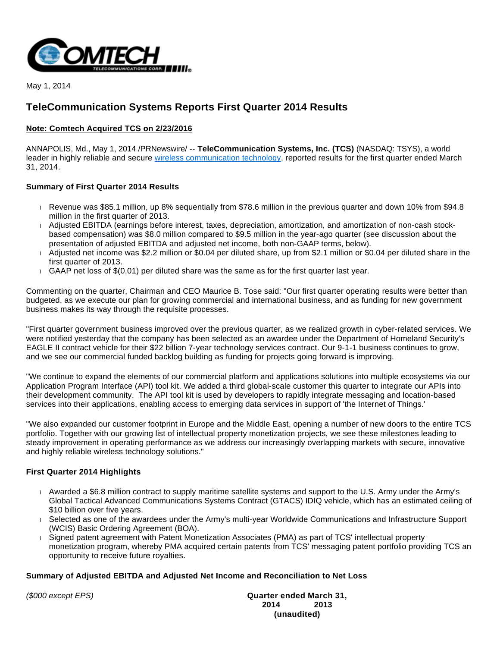

May 1, 2014

# **TeleCommunication Systems Reports First Quarter 2014 Results**

## **Note: Comtech Acquired TCS on 2/23/2016**

ANNAPOLIS, Md., May 1, 2014 /PRNewswire/ -- **TeleCommunication Systems, Inc. (TCS)** (NASDAQ: TSYS), a world leader in highly reliable and secure [wireless communication technology](http://www.telecomsys.com/), reported results for the first quarter ended March 31, 2014.

## **Summary of First Quarter 2014 Results**

- Revenue was \$85.1 million, up 8% sequentially from \$78.6 million in the previous quarter and down 10% from \$94.8 million in the first quarter of 2013.
- Adjusted EBITDA (earnings before interest, taxes, depreciation, amortization, and amortization of non-cash stockbased compensation) was \$8.0 million compared to \$9.5 million in the year-ago quarter (see discussion about the presentation of adjusted EBITDA and adjusted net income, both non-GAAP terms, below).
- Adjusted net income was \$2.2 million or \$0.04 per diluted share, up from \$2.1 million or \$0.04 per diluted share in the first quarter of 2013.
- $G = G = G + G$  of  $(0.01)$  per diluted share was the same as for the first quarter last year.

Commenting on the quarter, Chairman and CEO Maurice B. Tose said: "Our first quarter operating results were better than budgeted, as we execute our plan for growing commercial and international business, and as funding for new government business makes its way through the requisite processes.

"First quarter government business improved over the previous quarter, as we realized growth in cyber-related services. We were notified yesterday that the company has been selected as an awardee under the Department of Homeland Security's EAGLE II contract vehicle for their \$22 billion 7-year technology services contract. Our 9-1-1 business continues to grow, and we see our commercial funded backlog building as funding for projects going forward is improving.

"We continue to expand the elements of our commercial platform and applications solutions into multiple ecosystems via our Application Program Interface (API) tool kit. We added a third global-scale customer this quarter to integrate our APIs into their development community. The API tool kit is used by developers to rapidly integrate messaging and location-based services into their applications, enabling access to emerging data services in support of 'the Internet of Things.'

"We also expanded our customer footprint in Europe and the Middle East, opening a number of new doors to the entire TCS portfolio. Together with our growing list of intellectual property monetization projects, we see these milestones leading to steady improvement in operating performance as we address our increasingly overlapping markets with secure, innovative and highly reliable wireless technology solutions."

## **First Quarter 2014 Highlights**

- Awarded a \$6.8 million contract to supply maritime satellite systems and support to the U.S. Army under the Army's Global Tactical Advanced Communications Systems Contract (GTACS) IDIQ vehicle, which has an estimated ceiling of \$10 billion over five years.
- Selected as one of the awardees under the Army's multi-year Worldwide Communications and Infrastructure Support (WCIS) Basic Ordering Agreement (BOA).
- Signed patent agreement with Patent Monetization Associates (PMA) as part of TCS' intellectual property monetization program, whereby PMA acquired certain patents from TCS' messaging patent portfolio providing TCS an opportunity to receive future royalties.

## **Summary of Adjusted EBITDA and Adjusted Net Income and Reconciliation to Net Loss**

(\$000 except EPS) **Quarter ended March 31, 2014 2013 (unaudited)**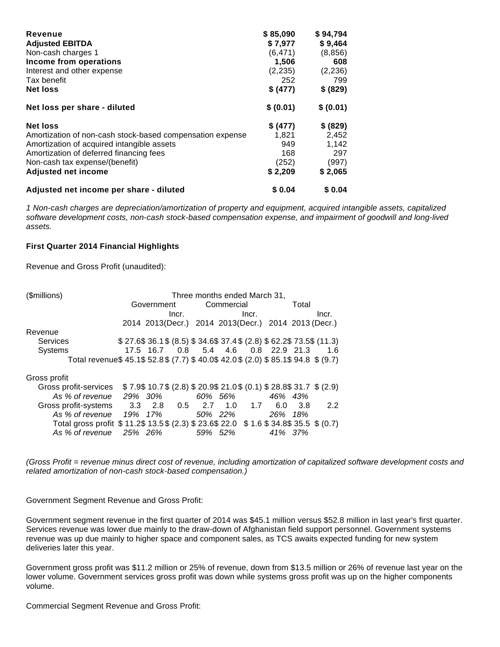| Revenue                                                   | \$85,090  | \$94,794  |
|-----------------------------------------------------------|-----------|-----------|
| <b>Adjusted EBITDA</b>                                    | \$7,977   | \$9,464   |
| Non-cash charges 1                                        | (6, 471)  | (8, 856)  |
| Income from operations                                    | 1,506     | 608       |
| Interest and other expense                                | (2, 235)  | (2, 236)  |
| Tax benefit                                               | 252       | 799       |
| <b>Net loss</b>                                           | \$ (477)  | \$ (829)  |
| Net loss per share - diluted                              | \$ (0.01) | \$ (0.01) |
| <b>Net loss</b>                                           | \$ (477)  | \$ (829)  |
| Amortization of non-cash stock-based compensation expense | 1,821     | 2,452     |
| Amortization of acquired intangible assets                | 949       | 1,142     |
| Amortization of deferred financing fees                   | 168       | 297       |
| Non-cash tax expense/(benefit)                            | (252)     | (997)     |
| <b>Adjusted net income</b>                                | \$2,209   | \$2,065   |
| Adjusted net income per share - diluted                   | \$0.04    | \$0.04    |

1 Non-cash charges are depreciation/amortization of property and equipment, acquired intangible assets, capitalized software development costs, non-cash stock-based compensation expense, and impairment of goodwill and long-lived assets.

#### **First Quarter 2014 Financial Highlights**

Revenue and Gross Profit (unaudited):

| (\$millions)                                                                            |           | Three months ended March 31,                                          |     |     |         |       |                           |      |               |
|-----------------------------------------------------------------------------------------|-----------|-----------------------------------------------------------------------|-----|-----|---------|-------|---------------------------|------|---------------|
|                                                                                         |           | Government<br>Commercial                                              |     |     | Total   |       |                           |      |               |
|                                                                                         |           | Incr.                                                                 |     |     |         | Incr. |                           |      | Incr.         |
|                                                                                         |           | 2014 2013(Decr.) 2014 2013(Decr.) 2014 2013 (Decr.)                   |     |     |         |       |                           |      |               |
| Revenue                                                                                 |           |                                                                       |     |     |         |       |                           |      |               |
| <b>Services</b>                                                                         |           | \$27.6\$36.1\$(8.5) \$34.6\$37.4\$(2.8) \$62.2\$73.5\$(11.3)          |     |     |         |       |                           |      |               |
| <b>Systems</b>                                                                          |           | 17.5 16.7                                                             |     |     |         |       | 0.8 5.4 4.6 0.8 22.9 21.3 |      | 1.6           |
| Total revenue\$ 45.1\$ 52.8\$ (7.7) \$ 40.0\$ 42.0\$ (2.0) \$ 85.1\$ 94.8 \$ (9.7)      |           |                                                                       |     |     |         |       |                           |      |               |
| Gross profit                                                                            |           |                                                                       |     |     |         |       |                           |      |               |
| Gross profit-services                                                                   |           | $$7.9$$ 10.7 \$ (2.8) \$ 20.9\$ 21.0 \$ (0.1) \$ 28.8\$ 31.7 \$ (2.9) |     |     |         |       |                           |      |               |
| As % of revenue                                                                         | 29% 30%   |                                                                       |     |     | 60% 56% |       | 46% 43%                   |      |               |
| Gross profit-systems                                                                    | $3.3$ 2.8 |                                                                       | 0.5 | 2.7 | 1.0     | 1.7   | 6.0                       | -3.8 | $2.2^{\circ}$ |
| As % of revenue 19% 17%                                                                 |           |                                                                       |     |     | 50% 22% |       | 26% 18%                   |      |               |
| Total gross profit \$ 11.2\$ 13.5\$ (2.3) \$ 23.6\$ 22.0 \$ 1.6 \$ 34.8\$ 35.5 \$ (0.7) |           |                                                                       |     |     |         |       |                           |      |               |
| As % of revenue                                                                         | 25% 26%   |                                                                       |     |     | 59% 52% |       | 41% 37%                   |      |               |

(Gross Profit = revenue minus direct cost of revenue, including amortization of capitalized software development costs and related amortization of non-cash stock-based compensation.)

Government Segment Revenue and Gross Profit:

Government segment revenue in the first quarter of 2014 was \$45.1 million versus \$52.8 million in last year's first quarter. Services revenue was lower due mainly to the draw-down of Afghanistan field support personnel. Government systems revenue was up due mainly to higher space and component sales, as TCS awaits expected funding for new system deliveries later this year.

Government gross profit was \$11.2 million or 25% of revenue, down from \$13.5 million or 26% of revenue last year on the lower volume. Government services gross profit was down while systems gross profit was up on the higher components volume.

Commercial Segment Revenue and Gross Profit: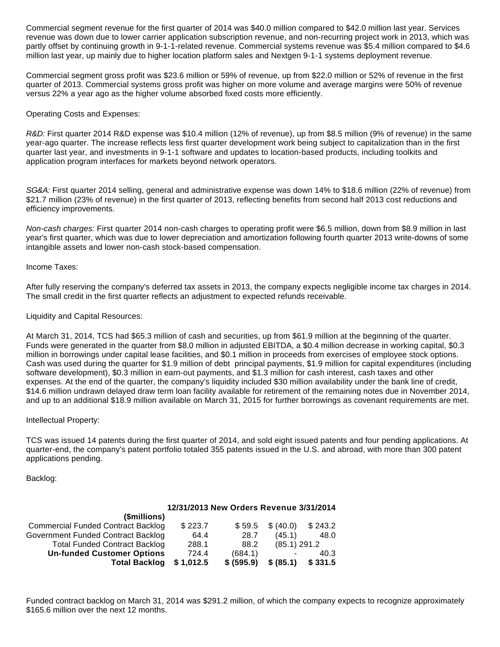Commercial segment revenue for the first quarter of 2014 was \$40.0 million compared to \$42.0 million last year. Services revenue was down due to lower carrier application subscription revenue, and non-recurring project work in 2013, which was partly offset by continuing growth in 9-1-1-related revenue. Commercial systems revenue was \$5.4 million compared to \$4.6 million last year, up mainly due to higher location platform sales and Nextgen 9-1-1 systems deployment revenue.

Commercial segment gross profit was \$23.6 million or 59% of revenue, up from \$22.0 million or 52% of revenue in the first quarter of 2013. Commercial systems gross profit was higher on more volume and average margins were 50% of revenue versus 22% a year ago as the higher volume absorbed fixed costs more efficiently.

#### Operating Costs and Expenses:

R&D: First quarter 2014 R&D expense was \$10.4 million (12% of revenue), up from \$8.5 million (9% of revenue) in the same year-ago quarter. The increase reflects less first quarter development work being subject to capitalization than in the first quarter last year, and investments in 9-1-1 software and updates to location-based products, including toolkits and application program interfaces for markets beyond network operators.

SG&A: First quarter 2014 selling, general and administrative expense was down 14% to \$18.6 million (22% of revenue) from \$21.7 million (23% of revenue) in the first quarter of 2013, reflecting benefits from second half 2013 cost reductions and efficiency improvements.

Non-cash charges: First quarter 2014 non-cash charges to operating profit were \$6.5 million, down from \$8.9 million in last year's first quarter, which was due to lower depreciation and amortization following fourth quarter 2013 write-downs of some intangible assets and lower non-cash stock-based compensation.

Income Taxes:

After fully reserving the company's deferred tax assets in 2013, the company expects negligible income tax charges in 2014. The small credit in the first quarter reflects an adjustment to expected refunds receivable.

#### Liquidity and Capital Resources:

At March 31, 2014, TCS had \$65.3 million of cash and securities, up from \$61.9 million at the beginning of the quarter. Funds were generated in the quarter from \$8.0 million in adjusted EBITDA, a \$0.4 million decrease in working capital, \$0.3 million in borrowings under capital lease facilities, and \$0.1 million in proceeds from exercises of employee stock options. Cash was used during the quarter for \$1.9 million of debt principal payments, \$1.9 million for capital expenditures (including software development), \$0.3 million in earn-out payments, and \$1.3 million for cash interest, cash taxes and other expenses. At the end of the quarter, the company's liquidity included \$30 million availability under the bank line of credit, \$14.6 million undrawn delayed draw term loan facility available for retirement of the remaining notes due in November 2014, and up to an additional \$18.9 million available on March 31, 2015 for further borrowings as covenant requirements are met.

#### Intellectual Property:

TCS was issued 14 patents during the first quarter of 2014, and sold eight issued patents and four pending applications. At quarter-end, the company's patent portfolio totaled 355 patents issued in the U.S. and abroad, with more than 300 patent applications pending.

Backlog:

## **12/31/2013 New Orders Revenue 3/31/2014**

| (\$millions)                              |           |            |                |         |
|-------------------------------------------|-----------|------------|----------------|---------|
| <b>Commercial Funded Contract Backlog</b> | \$223.7   | \$59.5     | \$ (40.0)      | \$243.2 |
| Government Funded Contract Backlog        | 64.4      | 28.7       | (45.1)         | 48.0    |
| <b>Total Funded Contract Backlog</b>      | 288.1     | 88.2       | $(85.1)$ 291.2 |         |
| <b>Un-funded Customer Options</b>         | 724.4     | (684.1)    | $\blacksquare$ | 40.3    |
| <b>Total Backlog</b>                      | \$1,012.5 | \$ (595.9) | \$ (85.1)      | \$331.5 |

Funded contract backlog on March 31, 2014 was \$291.2 million, of which the company expects to recognize approximately \$165.6 million over the next 12 months.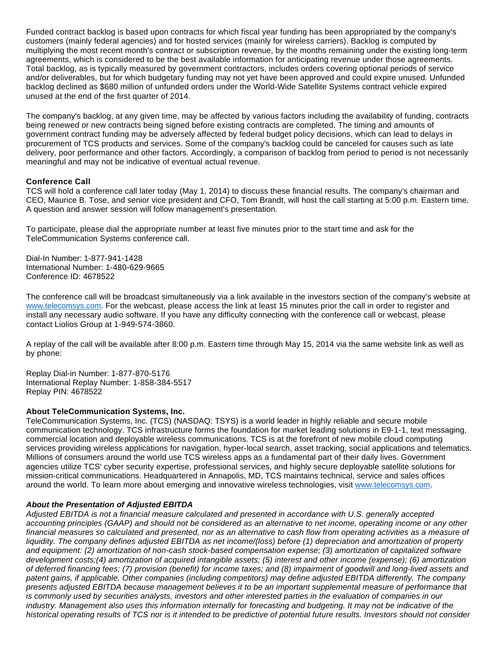Funded contract backlog is based upon contracts for which fiscal year funding has been appropriated by the company's customers (mainly federal agencies) and for hosted services (mainly for wireless carriers). Backlog is computed by multiplying the most recent month's contract or subscription revenue, by the months remaining under the existing long-term agreements, which is considered to be the best available information for anticipating revenue under those agreements. Total backlog, as is typically measured by government contractors, includes orders covering optional periods of service and/or deliverables, but for which budgetary funding may not yet have been approved and could expire unused. Unfunded backlog declined as \$680 million of unfunded orders under the World-Wide Satellite Systems contract vehicle expired unused at the end of the first quarter of 2014.

The company's backlog, at any given time, may be affected by various factors including the availability of funding, contracts being renewed or new contracts being signed before existing contracts are completed. The timing and amounts of government contract funding may be adversely affected by federal budget policy decisions, which can lead to delays in procurement of TCS products and services. Some of the company's backlog could be canceled for causes such as late delivery, poor performance and other factors. Accordingly, a comparison of backlog from period to period is not necessarily meaningful and may not be indicative of eventual actual revenue.

## **Conference Call**

TCS will hold a conference call later today (May 1, 2014) to discuss these financial results. The company's chairman and CEO, Maurice B. Tose, and senior vice president and CFO, Tom Brandt, will host the call starting at 5:00 p.m. Eastern time. A question and answer session will follow management's presentation.

To participate, please dial the appropriate number at least five minutes prior to the start time and ask for the TeleCommunication Systems conference call.

Dial-In Number: 1-877-941-1428 International Number: 1-480-629-9665 Conference ID: 4678522

The conference call will be broadcast simultaneously via a link available in the investors section of the company's website at [www.telecomsys.com.](http://www.telecomsys.com/) For the webcast, please access the link at least 15 minutes prior the call in order to register and install any necessary audio software. If you have any difficulty connecting with the conference call or webcast, please contact Liolios Group at 1-949-574-3860.

A replay of the call will be available after 8:00 p.m. Eastern time through May 15, 2014 via the same website link as well as by phone:

Replay Dial-in Number: 1-877-870-5176 International Replay Number: 1-858-384-5517 Replay PIN: 4678522

#### **About TeleCommunication Systems, Inc.**

TeleCommunication Systems, Inc. (TCS) (NASDAQ: TSYS) is a world leader in highly reliable and secure mobile communication technology. TCS infrastructure forms the foundation for market leading solutions in E9-1-1, text messaging, commercial location and deployable wireless communications. TCS is at the forefront of new mobile cloud computing services providing wireless applications for navigation, hyper-local search, asset tracking, social applications and telematics. Millions of consumers around the world use TCS wireless apps as a fundamental part of their daily lives. Government agencies utilize TCS' cyber security expertise, professional services, and highly secure deployable satellite solutions for mission-critical communications. Headquartered in Annapolis, MD, TCS maintains technical, service and sales offices around the world. To learn more about emerging and innovative wireless technologies, visit [www.telecomsys.com.](http://www.telecomsys.com/)

## **About the Presentation of Adjusted EBITDA**

Adjusted EBITDA is not a financial measure calculated and presented in accordance with U.S. generally accepted accounting principles (GAAP) and should not be considered as an alternative to net income, operating income or any other financial measures so calculated and presented, nor as an alternative to cash flow from operating activities as a measure of liquidity. The company defines adjusted EBITDA as net income/(loss) before (1) depreciation and amortization of property and equipment: (2) amortization of non-cash stock-based compensation expense; (3) amortization of capitalized software development costs;(4) amortization of acquired intangible assets; (5) interest and other income (expense); (6) amortization of deferred financing fees; (7) provision (benefit) for income taxes; and (8) impairment of goodwill and long-lived assets and patent gains, if applicable. Other companies (including competitors) may define adjusted EBITDA differently. The company presents adjusted EBITDA because management believes it to be an important supplemental measure of performance that is commonly used by securities analysts, investors and other interested parties in the evaluation of companies in our industry. Management also uses this information internally for forecasting and budgeting. It may not be indicative of the historical operating results of TCS nor is it intended to be predictive of potential future results. Investors should not consider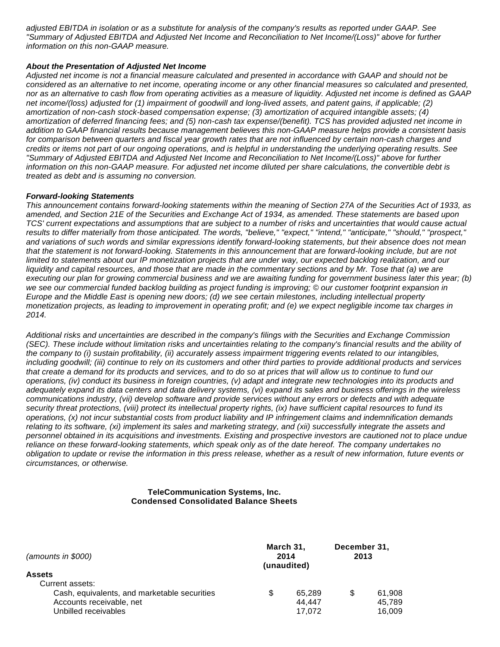adjusted EBITDA in isolation or as a substitute for analysis of the company's results as reported under GAAP. See "Summary of Adjusted EBITDA and Adjusted Net Income and Reconciliation to Net Income/(Loss)" above for further information on this non-GAAP measure.

#### **About the Presentation of Adjusted Net Income**

Adjusted net income is not a financial measure calculated and presented in accordance with GAAP and should not be considered as an alternative to net income, operating income or any other financial measures so calculated and presented, nor as an alternative to cash flow from operating activities as a measure of liquidity. Adjusted net income is defined as GAAP net income/(loss) adjusted for (1) impairment of goodwill and long-lived assets, and patent gains, if applicable; (2) amortization of non-cash stock-based compensation expense; (3) amortization of acquired intangible assets; (4) amortization of deferred financing fees; and (5) non-cash tax expense/(benefit). TCS has provided adjusted net income in addition to GAAP financial results because management believes this non-GAAP measure helps provide a consistent basis for comparison between quarters and fiscal year growth rates that are not influenced by certain non-cash charges and credits or items not part of our ongoing operations, and is helpful in understanding the underlying operating results. See "Summary of Adjusted EBITDA and Adjusted Net Income and Reconciliation to Net Income/(Loss)" above for further information on this non-GAAP measure. For adjusted net income diluted per share calculations, the convertible debt is treated as debt and is assuming no conversion.

#### **Forward-looking Statements**

This announcement contains forward-looking statements within the meaning of Section 27A of the Securities Act of 1933, as amended, and Section 21E of the Securities and Exchange Act of 1934, as amended. These statements are based upon TCS' current expectations and assumptions that are subject to a number of risks and uncertainties that would cause actual results to differ materially from those anticipated. The words, "believe," "expect," "intend," "anticipate," "should," "prospect," and variations of such words and similar expressions identify forward-looking statements, but their absence does not mean that the statement is not forward-looking. Statements in this announcement that are forward-looking include, but are not limited to statements about our IP monetization projects that are under way, our expected backlog realization, and our liquidity and capital resources, and those that are made in the commentary sections and by Mr. Tose that (a) we are executing our plan for growing commercial business and we are awaiting funding for government business later this year; (b) we see our commercial funded backlog building as project funding is improving; © our customer footprint expansion in Europe and the Middle East is opening new doors; (d) we see certain milestones, including intellectual property monetization projects, as leading to improvement in operating profit; and (e) we expect negligible income tax charges in 2014.

Additional risks and uncertainties are described in the company's filings with the Securities and Exchange Commission (SEC). These include without limitation risks and uncertainties relating to the company's financial results and the ability of the company to (i) sustain profitability, (ii) accurately assess impairment triggering events related to our intangibles, including goodwill; (iii) continue to rely on its customers and other third parties to provide additional products and services that create a demand for its products and services, and to do so at prices that will allow us to continue to fund our operations, (iv) conduct its business in foreign countries, (v) adapt and integrate new technologies into its products and adequately expand its data centers and data delivery systems, (vi) expand its sales and business offerings in the wireless communications industry, (vii) develop software and provide services without any errors or defects and with adequate security threat protections, (viii) protect its intellectual property rights, (ix) have sufficient capital resources to fund its operations, (x) not incur substantial costs from product liability and IP infringement claims and indemnification demands relating to its software, (xi) implement its sales and marketing strategy, and (xii) successfully integrate the assets and personnel obtained in its acquisitions and investments. Existing and prospective investors are cautioned not to place undue reliance on these forward-looking statements, which speak only as of the date hereof. The company undertakes no obligation to update or revise the information in this press release, whether as a result of new information, future events or circumstances, or otherwise.

### **TeleCommunication Systems, Inc. Condensed Consolidated Balance Sheets**

| (amounts in \$000)                                                        | March 31,<br>2014<br>(unaudited) |                  | December 31,<br>2013 |                  |
|---------------------------------------------------------------------------|----------------------------------|------------------|----------------------|------------------|
| Assets<br>Current assets:<br>Cash, equivalents, and marketable securities | \$                               | 65,289           | S                    | 61,908           |
| Accounts receivable, net<br>Unbilled receivables                          |                                  | 44.447<br>17.072 |                      | 45.789<br>16.009 |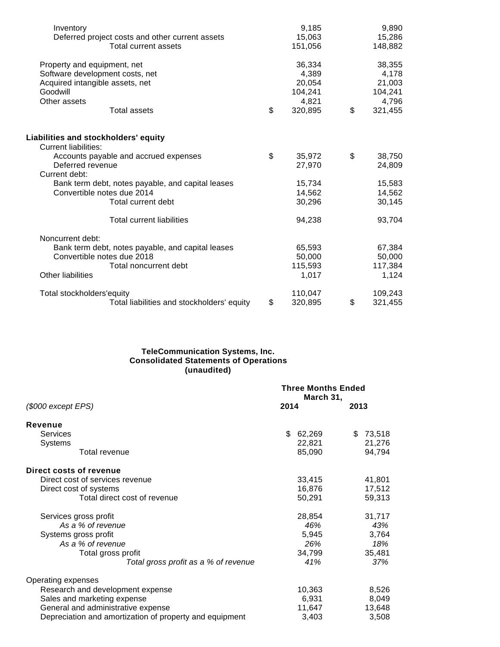| Inventory<br>Deferred project costs and other current assets<br><b>Total current assets</b>                                                              | 9.185<br>15,063<br>151,056                                     | 9,890<br>15,286<br>148,882                                     |
|----------------------------------------------------------------------------------------------------------------------------------------------------------|----------------------------------------------------------------|----------------------------------------------------------------|
| Property and equipment, net<br>Software development costs, net<br>Acquired intangible assets, net<br>Goodwill<br>Other assets<br>Total assets            | \$<br>36,334<br>4,389<br>20,054<br>104,241<br>4,821<br>320,895 | \$<br>38,355<br>4,178<br>21,003<br>104,241<br>4,796<br>321,455 |
| Liabilities and stockholders' equity<br><b>Current liabilities:</b>                                                                                      |                                                                |                                                                |
| Accounts payable and accrued expenses<br>Deferred revenue<br>Current debt:                                                                               | \$<br>35,972<br>27,970                                         | \$<br>38,750<br>24,809                                         |
| Bank term debt, notes payable, and capital leases<br>Convertible notes due 2014<br>Total current debt                                                    | 15,734<br>14,562<br>30,296                                     | 15,583<br>14,562<br>30,145                                     |
| Total current liabilities                                                                                                                                | 94,238                                                         | 93,704                                                         |
| Noncurrent debt:<br>Bank term debt, notes payable, and capital leases<br>Convertible notes due 2018<br>Total noncurrent debt<br><b>Other liabilities</b> | 65,593<br>50,000<br>115,593<br>1,017                           | 67,384<br>50,000<br>117,384<br>1,124                           |
| Total stockholders'equity<br>Total liabilities and stockholders' equity                                                                                  | \$<br>110,047<br>320,895                                       | \$<br>109,243<br>321,455                                       |

#### **TeleCommunication Systems, Inc. Consolidated Statements of Operations (unaudited)**

|                                                                                                                                                                                        | <b>Three Months Ended</b><br>March 31,         |                                                |  |
|----------------------------------------------------------------------------------------------------------------------------------------------------------------------------------------|------------------------------------------------|------------------------------------------------|--|
| (\$000 except EPS)                                                                                                                                                                     | 2014                                           | 2013                                           |  |
| Revenue<br>Services<br><b>Systems</b><br>Total revenue                                                                                                                                 | \$<br>62,269<br>22,821<br>85,090               | \$<br>73,518<br>21,276<br>94,794               |  |
| Direct costs of revenue<br>Direct cost of services revenue<br>Direct cost of systems<br>Total direct cost of revenue                                                                   | 33,415<br>16,876<br>50,291                     | 41,801<br>17,512<br>59,313                     |  |
| Services gross profit<br>As a % of revenue<br>Systems gross profit<br>As a % of revenue<br>Total gross profit<br>Total gross profit as a % of revenue                                  | 28,854<br>46%<br>5,945<br>26%<br>34,799<br>41% | 31,717<br>43%<br>3,764<br>18%<br>35,481<br>37% |  |
| Operating expenses<br>Research and development expense<br>Sales and marketing expense<br>General and administrative expense<br>Depreciation and amortization of property and equipment | 10,363<br>6,931<br>11,647<br>3,403             | 8,526<br>8,049<br>13,648<br>3,508              |  |